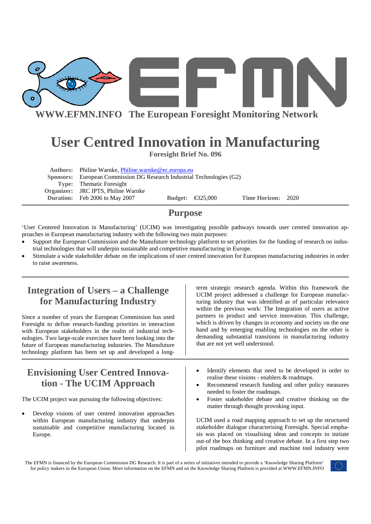

**WWW.EFMN.INFO The European Foresight Monitoring Network**

# **User Centred Innovation in Manufacturing**

**Foresight Brief No. 096** 

| Authors: Philine Warnke, Philine.warnke@ec.europa.eu                   |  |                            |                    |  |  |
|------------------------------------------------------------------------|--|----------------------------|--------------------|--|--|
| Sponsors: European Commission DG Research Industrial Technologies (G2) |  |                            |                    |  |  |
| <b>Type:</b> Thematic Foresight                                        |  |                            |                    |  |  |
| Organizer: JRC IPTS, Philine Warnke                                    |  |                            |                    |  |  |
| <b>Duration:</b> Feb 2006 to May 2007                                  |  | Budget: $\bigoplus$ 25,000 | Time Horizon: 2020 |  |  |

# **Purpose**

'User Centered Innovation in Manufacturing' (UCIM) was investigating possible pathways towards user centred innovation approaches in European manufacturing industry with the following two main purposes:

- Support the European Commission and the Manufuture technology platform to set priorities for the funding of research on industrial technologies that will underpin sustainable and competitive manufacturing in Europe.
- Stimulate a wide stakeholder debate on the implications of user centred innovation for European manufacturing industries in order to raise awareness.

# **Integration of Users – a Challenge for Manufacturing Industry**

Since a number of years the European Commission has used Foresight to define research-funding priorities in interaction with European stakeholders in the realm of industrial technologies. Two large-scale exercises have been looking into the future of European manufacturing industries. The Manufuture technology platform has been set up and developed a long-

# **Envisioning User Centred Innovation - The UCIM Approach**

The UCIM project was pursuing the following objectives:

Develop visions of user centred innovation approaches within European manufacturing industry that underpin sustainable and competitive manufacturing located in Europe.

term strategic research agenda. Within this framework the UCIM project addressed a challenge for European manufacturing industry that was identified as of particular relevance within the previous work: The Integration of users as active partners in product and service innovation. This challenge, which is driven by changes in economy and society on the one hand and by emerging enabling technologies on the other is demanding substantial transitions in manufacturing industry that are not yet well understood.

- Identify elements that need to be developed in order to realise these visions - enablers & roadmaps.
- Recommend research funding and other policy measures needed to foster the roadmaps.
- Foster stakeholder debate and creative thinking on the matter through thought provoking input.

UCIM used a road mapping approach to set up the structured stakeholder dialogue characterising Foresight. Special emphasis was placed on visualising ideas and concepts to initiate out-of the box thinking and creative debate. In a first step two pilot roadmaps on furniture and machine tool industry were

The EFMN is financed by the European Commission DG Research. It is part of a series of initiatives intended to provide a 'Knowledge Sharing Platform' for policy makers in the European Union. More information on the EFMN and on the Knowledge Sharing Platform is provided at WWW.EFMN.INFO

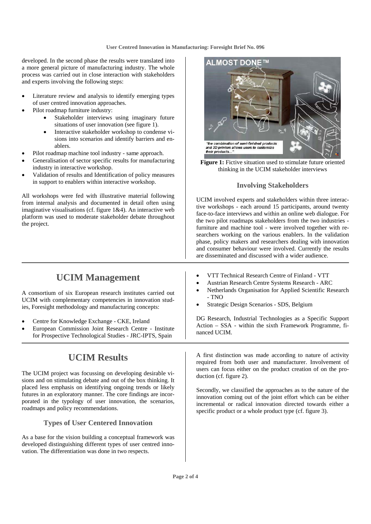developed. In the second phase the results were translated into a more general picture of manufacturing industry. The whole process was carried out in close interaction with stakeholders and experts involving the following steps:

- Literature review and analysis to identify emerging types of user centred innovation approaches.
- Pilot roadmap furniture industry:
	- Stakeholder interviews using imaginary future situations of user innovation (see figure 1).
	- Interactive stakeholder workshop to condense visions into scenarios and identify barriers and enablers.
- Pilot roadmap machine tool industry same approach.
- Generalisation of sector specific results for manufacturing industry in interactive workshop.
- Validation of results and Identification of policy measures in support to enablers within interactive workshop.

All workshops were fed with illustrative material following from internal analysis and documented in detail often using imaginative visualisations (cf. figure 1&4). An interactive web platform was used to moderate stakeholder debate throughout the project.



A consortium of six European research institutes carried out UCIM with complementary competencies in innovation studies, Foresight methodology and manufacturing concepts:

- Centre for Knowledge Exchange CKE, Ireland
- European Commission Joint Research Centre Institute for Prospective Technological Studies - JRC-IPTS, Spain

# **UCIM Results**

The UCIM project was focussing on developing desirable visions and on stimulating debate and out of the box thinking. It placed less emphasis on identifying ongoing trends or likely futures in an exploratory manner. The core findings are incorporated in the typology of user innovation, the scenarios, roadmaps and policy recommendations.

### **Types of User Centered Innovation**

As a base for the vision building a conceptual framework was developed distinguishing different types of user centred innovation. The differentiation was done in two respects.



**Figure 1:** Fictive situation used to stimulate future oriented thinking in the UCIM stakeholder interviews

### **Involving Stakeholders**

UCIM involved experts and stakeholders within three interactive workshops - each around 15 participants, around twenty face-to-face interviews and within an online web dialogue. For the two pilot roadmaps stakeholders from the two industries furniture and machine tool - were involved together with researchers working on the various enablers. In the validation phase, policy makers and researchers dealing with innovation and consumer behaviour were involved. Currently the results are disseminated and discussed with a wider audience.

- VTT Technical Research Centre of Finland VTT
- Austrian Research Centre Systems Research ARC
- Netherlands Organisation for Applied Scientific Research - TNO
- Strategic Design Scenarios SDS, Belgium

DG Research, Industrial Technologies as a Specific Support Action – SSA - within the sixth Framework Programme, financed UCIM.

A first distinction was made according to nature of activity required from both user and manufacturer. Involvement of users can focus either on the product creation of on the production (cf. figure 2).

Secondly, we classified the approaches as to the nature of the innovation coming out of the joint effort which can be either incremental or radical innovation directed towards either a specific product or a whole product type (cf. figure 3).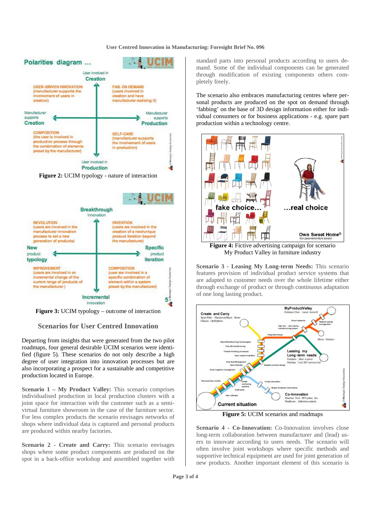#### **User Centred Innovation in Manufacturing: Foresight Brief No. 096**



**Figure 3:** UCIM typology – outcome of interaction

**Scenarios for User Centred Innovation** 

Departing from insights that were generated from the two pilot roadmaps, four general desirable UCIM scenarios were identified (figure 5). These scenarios do not only describe a high degree of user integration into innovation processes but are also incorporating a prospect for a sustainable and competitive production located in Europe.

**Scenario 1 – My Product Valley:** This scenario comprises individualised production in local production clusters with a joint space for interaction with the customer such as a semivirtual furniture showroom in the case of the furniture sector. For less complex products the scenario envisages networks of shops where individual data is captured and personal products are produced within nearby factories.

**Scenario 2 - Create and Carry:** This scenario envisages shops where some product components are produced on the spot in a back-office workshop and assembled together with

standard parts into personal products according to users demand. Some of the individual components can be generated through modification of existing components others completely freely.

The scenario also embraces manufacturing centres where personal products are produced on the spot on demand through 'fabbing' on the base of 3D design information either for individual consumers or for business applications - e.g. spare part production within a technology centre.



My Product Valley in furniture industry

**Scenario 3 - Leasing My Long-term Needs:** This scenario features provision of individual product service systems that are adapted to customer needs over the whole lifetime either through exchange of product or through continuous adaptation of one long lasting product.



**Figure 5:** UCIM scenarios and roadmaps

**Scenario 4 - Co-Innovation:** Co-Innovation involves close long-term collaboration between manufacturer and (lead) users to innovate according to users needs. The scenario will often involve joint workshops where specific methods and supportive technical equipment are used for joint generation of new products. Another important element of this scenario is